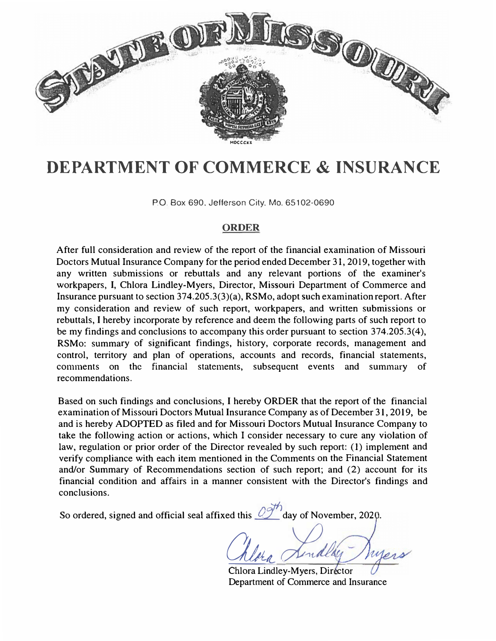

# **DEPARTMENT OF COMMERCE & INSURANCE**

P.O. Box 690. Jefferson City. Mo. 65102-0690

# **ORDER**

After full consideration and review of the report of the financial examination of Missouri Doctors Mutual Insurance Company for the period ended December 31,2019, together with any written submissions or rebuttals and any relevant portions of the examiner's workpapers, I, Chlora Lindley-Myers, Director, Missouri Department of Commerce and Insurance pursuant to section 374.205.3(3)(a), RSMo, adopt such examination report. After my consideration and review of such report, workpapers, and written submissions or rebuttals, I hereby incorporate by reference and deem the following parts of such report to be my findings and conclusions to accompany this order pursuant to section 374.205.3(4), RSMo: summary of significant findings, history, corporate records, management and control, territory and plan of operations, accounts and records, financial statements, comments on the financial statements, subsequent events and summary of recommendations.

Based on such findings and conclusions, I hereby ORDER that the report of the financial examination of Missouri Doctors Mutual Insurance Company as of December 31, 2019, be and is hereby ADOPTED as filed and for Missouri Doctors Mutual Insurance Company to take the following action or actions, which I consider necessary to cure any violation of law, regulation or prior order of the Director revealed by such report: (1) implement and verify compliance with each item mentioned in the Comments on the Financial Statement and/or Summary of Recommendations section of such report; and (2) account for its financial condition and affairs in a manner consistent with the Director's findings and conclusions.

So ordered, signed and official seal affixed this 2<sup>011</sup>/<sub>day</sub> of November, 2020.

Chlora Lindling

Chlora Lindley-Myers, Director Department of Commerce and Insurance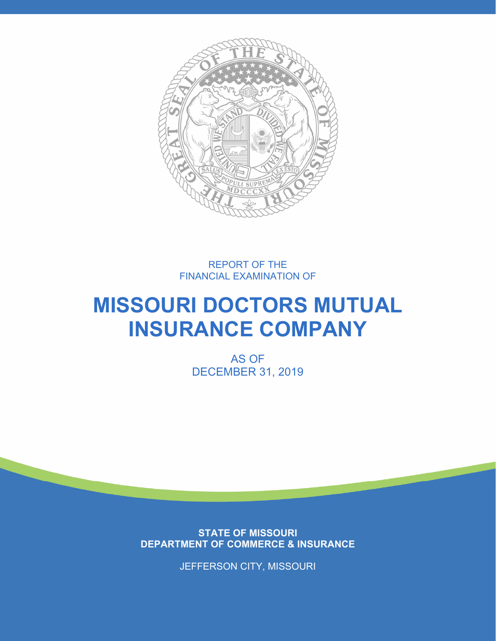

REPORT OF THE FINANCIAL EXAMINATION OF

# **MISSOURI DOCTORS MUTUAL INSURANCE COMPANY**

AS OF DECEMBER 31, 2019

**STATE OF MISSOURI DEPARTMENT OF COMMERCE & INSURANCE** 

JEFFERSON CITY, MISSOURI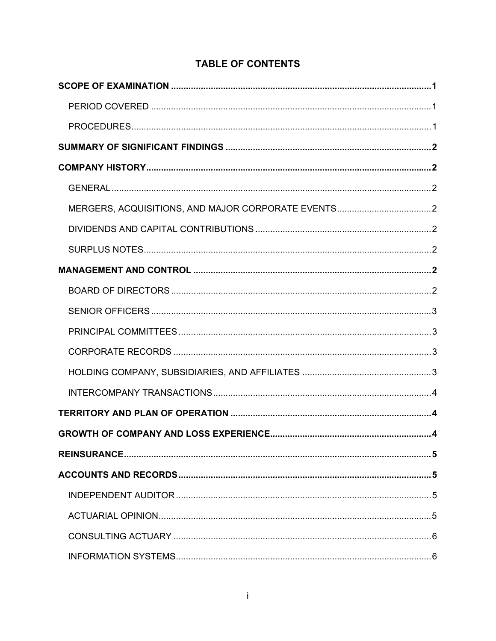# **TABLE OF CONTENTS**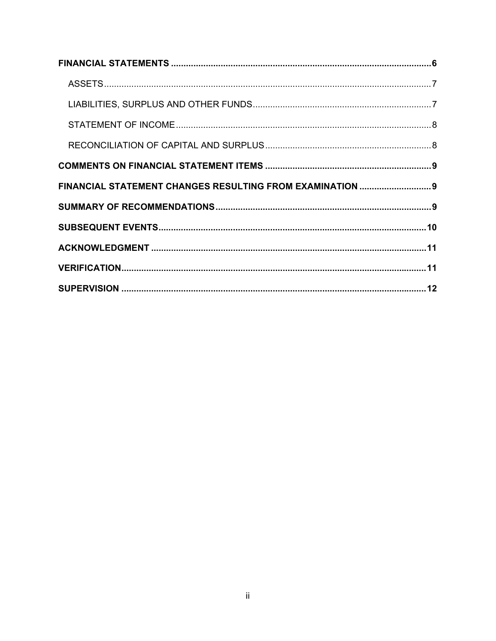| FINANCIAL STATEMENT CHANGES RESULTING FROM EXAMINATION  9 |  |
|-----------------------------------------------------------|--|
|                                                           |  |
|                                                           |  |
|                                                           |  |
|                                                           |  |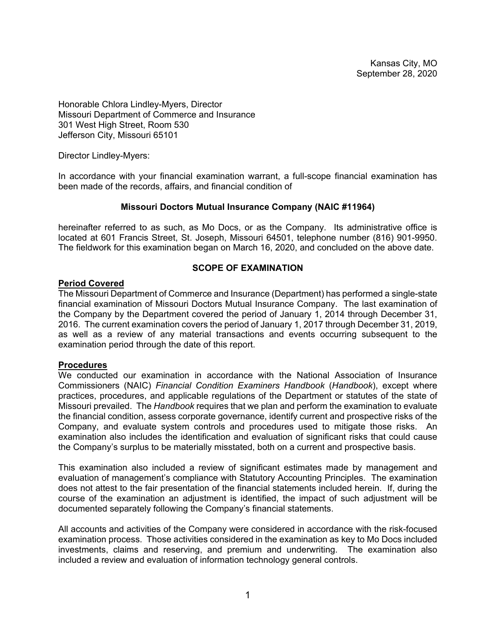Kansas City, MO September 28, 2020

Honorable Chlora Lindley-Myers, Director Missouri Department of Commerce and Insurance 301 West High Street, Room 530 Jefferson City, Missouri 65101

Director Lindley-Myers:

In accordance with your financial examination warrant, a full-scope financial examination has been made of the records, affairs, and financial condition of

#### **Missouri Doctors Mutual Insurance Company (NAIC #11964)**

hereinafter referred to as such, as Mo Docs, or as the Company. Its administrative office is located at 601 Francis Street, St. Joseph, Missouri 64501, telephone number (816) 901-9950. The fieldwork for this examination began on March 16, 2020, and concluded on the above date.

#### **SCOPE OF EXAMINATION**

# **Period Covered**

The Missouri Department of Commerce and Insurance (Department) has performed a single-state financial examination of Missouri Doctors Mutual Insurance Company. The last examination of the Company by the Department covered the period of January 1, 2014 through December 31, 2016. The current examination covers the period of January 1, 2017 through December 31, 2019, as well as a review of any material transactions and events occurring subsequent to the examination period through the date of this report.

#### **Procedures**

We conducted our examination in accordance with the National Association of Insurance Commissioners (NAIC) *Financial Condition Examiners Handbook* (*Handbook*), except where practices, procedures, and applicable regulations of the Department or statutes of the state of Missouri prevailed. The *Handbook* requires that we plan and perform the examination to evaluate the financial condition, assess corporate governance, identify current and prospective risks of the Company, and evaluate system controls and procedures used to mitigate those risks. An examination also includes the identification and evaluation of significant risks that could cause the Company's surplus to be materially misstated, both on a current and prospective basis.

This examination also included a review of significant estimates made by management and evaluation of management's compliance with Statutory Accounting Principles. The examination does not attest to the fair presentation of the financial statements included herein. If, during the course of the examination an adjustment is identified, the impact of such adjustment will be documented separately following the Company's financial statements.

All accounts and activities of the Company were considered in accordance with the risk-focused examination process. Those activities considered in the examination as key to Mo Docs included investments, claims and reserving, and premium and underwriting. The examination also included a review and evaluation of information technology general controls.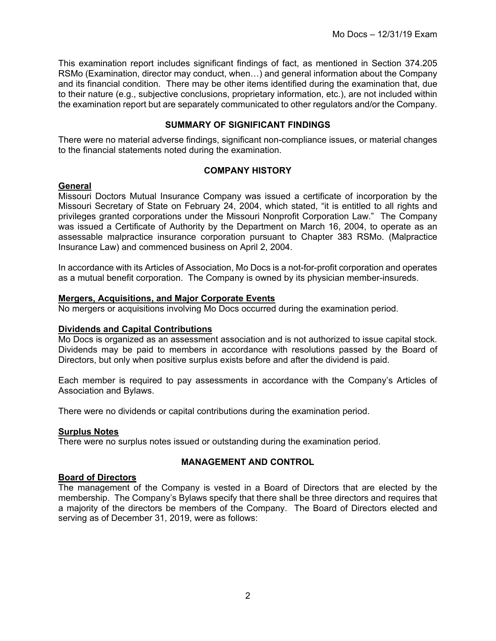This examination report includes significant findings of fact, as mentioned in Section 374.205 RSMo (Examination, director may conduct, when…) and general information about the Company and its financial condition. There may be other items identified during the examination that, due to their nature (e.g., subjective conclusions, proprietary information, etc.), are not included within the examination report but are separately communicated to other regulators and/or the Company.

# **SUMMARY OF SIGNIFICANT FINDINGS**

There were no material adverse findings, significant non-compliance issues, or material changes to the financial statements noted during the examination.

# **COMPANY HISTORY**

# **General**

Missouri Doctors Mutual Insurance Company was issued a certificate of incorporation by the Missouri Secretary of State on February 24, 2004, which stated, "it is entitled to all rights and privileges granted corporations under the Missouri Nonprofit Corporation Law." The Company was issued a Certificate of Authority by the Department on March 16, 2004, to operate as an assessable malpractice insurance corporation pursuant to Chapter 383 RSMo. (Malpractice Insurance Law) and commenced business on April 2, 2004.

In accordance with its Articles of Association, Mo Docs is a not-for-profit corporation and operates as a mutual benefit corporation. The Company is owned by its physician member-insureds.

# **Mergers, Acquisitions, and Major Corporate Events**

No mergers or acquisitions involving Mo Docs occurred during the examination period.

#### **Dividends and Capital Contributions**

Mo Docs is organized as an assessment association and is not authorized to issue capital stock. Dividends may be paid to members in accordance with resolutions passed by the Board of Directors, but only when positive surplus exists before and after the dividend is paid.

Each member is required to pay assessments in accordance with the Company's Articles of Association and Bylaws.

There were no dividends or capital contributions during the examination period.

#### **Surplus Notes**

There were no surplus notes issued or outstanding during the examination period.

# **MANAGEMENT AND CONTROL**

#### **Board of Directors**

The management of the Company is vested in a Board of Directors that are elected by the membership. The Company's Bylaws specify that there shall be three directors and requires that a majority of the directors be members of the Company. The Board of Directors elected and serving as of December 31, 2019, were as follows: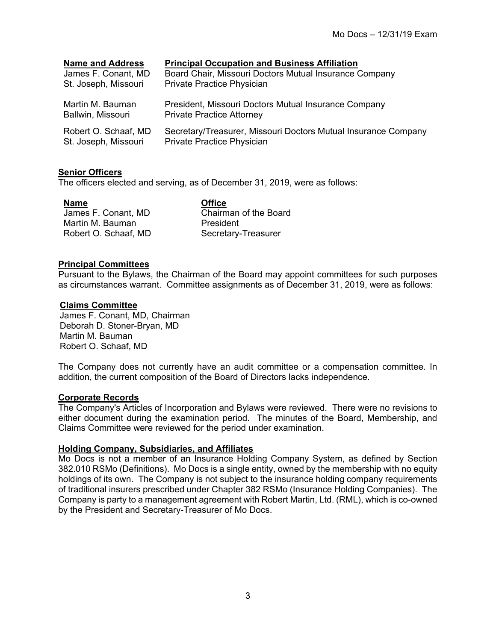| <b>Name and Address</b> | <b>Principal Occupation and Business Affiliation</b>           |
|-------------------------|----------------------------------------------------------------|
| James F. Conant, MD     | Board Chair, Missouri Doctors Mutual Insurance Company         |
| St. Joseph, Missouri    | Private Practice Physician                                     |
| Martin M. Bauman        | President, Missouri Doctors Mutual Insurance Company           |
| Ballwin, Missouri       | <b>Private Practice Attorney</b>                               |
| Robert O. Schaaf, MD    | Secretary/Treasurer, Missouri Doctors Mutual Insurance Company |
| St. Joseph, Missouri    | Private Practice Physician                                     |

# **Senior Officers**

The officers elected and serving, as of December 31, 2019, were as follows:

James F. Conant, MD Martin M. Bauman Robert O. Schaaf, MD **Name Office**  Chairman of the Board President Secretary-Treasurer

# **Principal Committees**

Pursuant to the Bylaws, the Chairman of the Board may appoint committees for such purposes as circumstances warrant. Committee assignments as of December 31, 2019, were as follows:

# **Claims Committee**

James F. Conant, MD, Chairman Deborah D. Stoner-Bryan, MD Martin M. Bauman Robert O. Schaaf, MD

The Company does not currently have an audit committee or a compensation committee. In addition, the current composition of the Board of Directors lacks independence.

# **Corporate Records**

The Company's Articles of Incorporation and Bylaws were reviewed. There were no revisions to either document during the examination period. The minutes of the Board, Membership, and Claims Committee were reviewed for the period under examination.

#### **Holding Company, Subsidiaries, and Affiliates**

Mo Docs is not a member of an Insurance Holding Company System, as defined by Section 382.010 RSMo (Definitions). Mo Docs is a single entity, owned by the membership with no equity holdings of its own. The Company is not subject to the insurance holding company requirements of traditional insurers prescribed under Chapter 382 RSMo (Insurance Holding Companies). The Company is party to a management agreement with Robert Martin, Ltd. (RML), which is co-owned by the President and Secretary-Treasurer of Mo Docs.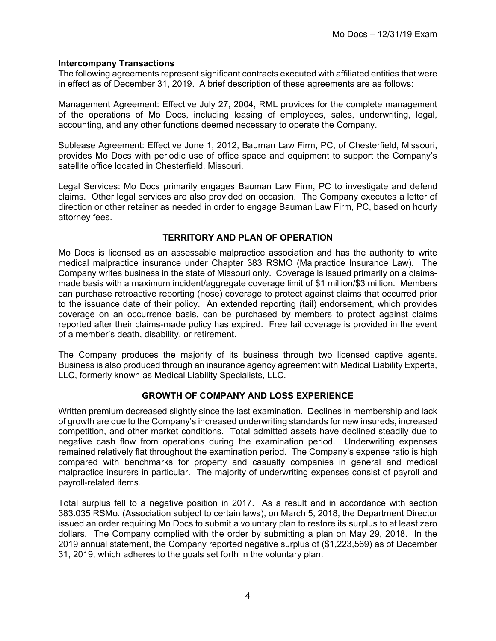# **Intercompany Transactions**

The following agreements represent significant contracts executed with affiliated entities that were in effect as of December 31, 2019. A brief description of these agreements are as follows:

Management Agreement: Effective July 27, 2004, RML provides for the complete management of the operations of Mo Docs, including leasing of employees, sales, underwriting, legal, accounting, and any other functions deemed necessary to operate the Company.

Sublease Agreement: Effective June 1, 2012, Bauman Law Firm, PC, of Chesterfield, Missouri, provides Mo Docs with periodic use of office space and equipment to support the Company's satellite office located in Chesterfield, Missouri.

Legal Services: Mo Docs primarily engages Bauman Law Firm, PC to investigate and defend claims. Other legal services are also provided on occasion. The Company executes a letter of direction or other retainer as needed in order to engage Bauman Law Firm, PC, based on hourly attorney fees.

# **TERRITORY AND PLAN OF OPERATION**

Mo Docs is licensed as an assessable malpractice association and has the authority to write medical malpractice insurance under Chapter 383 RSMO (Malpractice Insurance Law). The Company writes business in the state of Missouri only. Coverage is issued primarily on a claimsmade basis with a maximum incident/aggregate coverage limit of \$1 million/\$3 million. Members can purchase retroactive reporting (nose) coverage to protect against claims that occurred prior to the issuance date of their policy. An extended reporting (tail) endorsement, which provides coverage on an occurrence basis, can be purchased by members to protect against claims reported after their claims-made policy has expired. Free tail coverage is provided in the event of a member's death, disability, or retirement.

The Company produces the majority of its business through two licensed captive agents. Business is also produced through an insurance agency agreement with Medical Liability Experts, LLC, formerly known as Medical Liability Specialists, LLC.

# **GROWTH OF COMPANY AND LOSS EXPERIENCE**

Written premium decreased slightly since the last examination. Declines in membership and lack of growth are due to the Company's increased underwriting standards for new insureds, increased competition, and other market conditions. Total admitted assets have declined steadily due to negative cash flow from operations during the examination period. Underwriting expenses remained relatively flat throughout the examination period. The Company's expense ratio is high compared with benchmarks for property and casualty companies in general and medical malpractice insurers in particular. The majority of underwriting expenses consist of payroll and payroll-related items.

Total surplus fell to a negative position in 2017. As a result and in accordance with section 383.035 RSMo. (Association subject to certain laws), on March 5, 2018, the Department Director issued an order requiring Mo Docs to submit a voluntary plan to restore its surplus to at least zero dollars. The Company complied with the order by submitting a plan on May 29, 2018. In the 2019 annual statement, the Company reported negative surplus of (\$1,223,569) as of December 31, 2019, which adheres to the goals set forth in the voluntary plan.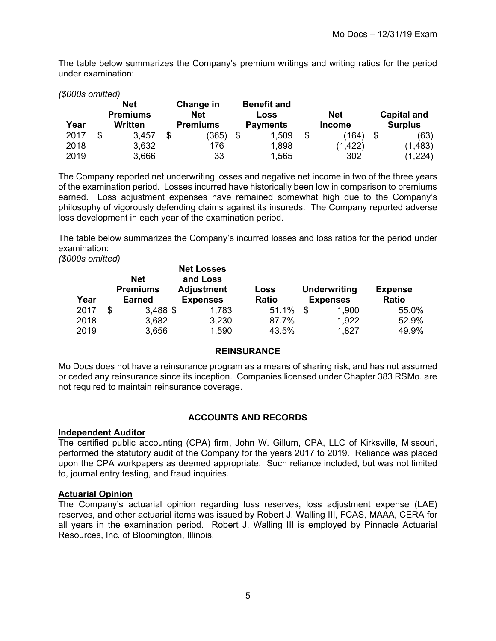The table below summarizes the Company's premium writings and writing ratios for the period under examination:

| (\$000s omitted) |                                          |                                            |                                               |                             |                                      |
|------------------|------------------------------------------|--------------------------------------------|-----------------------------------------------|-----------------------------|--------------------------------------|
| Year             | <b>Net</b><br><b>Premiums</b><br>Written | Change in<br><b>Net</b><br><b>Premiums</b> | <b>Benefit and</b><br>Loss<br><b>Payments</b> | <b>Net</b><br><b>Income</b> | <b>Capital and</b><br><b>Surplus</b> |
| 2017             | \$<br>3,457                              | \$<br>(365)                                | \$<br>1,509                                   | \$<br>(164)                 | \$<br>(63)                           |
| 2018             | 3,632                                    | 176                                        | 1,898                                         | (1, 422)                    | (1,483)                              |
| 2019             | 3,666                                    | 33                                         | 1,565                                         | 302                         | ,224'                                |

The Company reported net underwriting losses and negative net income in two of the three years of the examination period. Losses incurred have historically been low in comparison to premiums earned. Loss adjustment expenses have remained somewhat high due to the Company's philosophy of vigorously defending claims against its insureds. The Company reported adverse loss development in each year of the examination period.

The table below summarizes the Company's incurred losses and loss ratios for the period under examination:

*(\$000s omitted)*

| Year | <b>Net</b><br><b>Premiums</b><br><b>Earned</b> | <b>Net Losses</b><br>and Loss<br><b>Adjustment</b><br><b>Expenses</b> | Loss<br><b>Ratio</b> | <b>Underwriting</b><br><b>Expenses</b> | <b>Expense</b><br><b>Ratio</b> |
|------|------------------------------------------------|-----------------------------------------------------------------------|----------------------|----------------------------------------|--------------------------------|
| 2017 | $3,488$ \$<br>\$                               | 1,783                                                                 | 51.1%                | \$<br>1,900                            | 55.0%                          |
| 2018 | 3,682                                          | 3,230                                                                 | 87.7%                | 1,922                                  | 52.9%                          |
| 2019 | 3,656                                          | 1,590                                                                 | 43.5%                | 1,827                                  | 49.9%                          |

# **REINSURANCE**

Mo Docs does not have a reinsurance program as a means of sharing risk, and has not assumed or ceded any reinsurance since its inception. Companies licensed under Chapter 383 RSMo. are not required to maintain reinsurance coverage.

# **ACCOUNTS AND RECORDS**

#### **Independent Auditor**

The certified public accounting (CPA) firm, John W. Gillum, CPA, LLC of Kirksville, Missouri, performed the statutory audit of the Company for the years 2017 to 2019. Reliance was placed upon the CPA workpapers as deemed appropriate. Such reliance included, but was not limited to, journal entry testing, and fraud inquiries.

# **Actuarial Opinion**

The Company's actuarial opinion regarding loss reserves, loss adjustment expense (LAE) reserves, and other actuarial items was issued by Robert J. Walling III, FCAS, MAAA, CERA for all years in the examination period. Robert J. Walling III is employed by Pinnacle Actuarial Resources, Inc. of Bloomington, Illinois.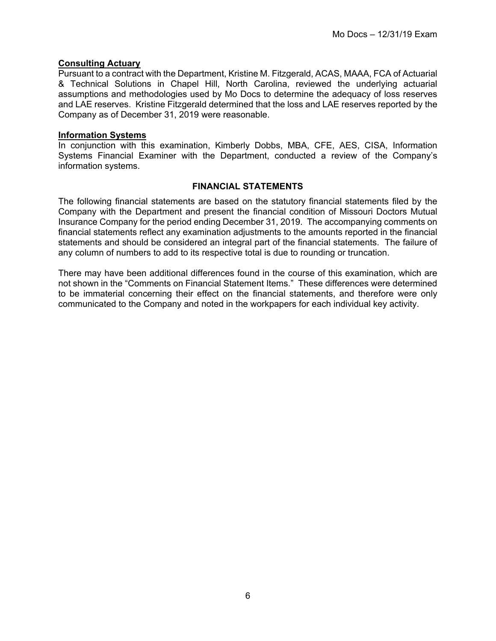# **Consulting Actuary**

Pursuant to a contract with the Department, Kristine M. Fitzgerald, ACAS, MAAA, FCA of Actuarial & Technical Solutions in Chapel Hill, North Carolina, reviewed the underlying actuarial assumptions and methodologies used by Mo Docs to determine the adequacy of loss reserves and LAE reserves. Kristine Fitzgerald determined that the loss and LAE reserves reported by the Company as of December 31, 2019 were reasonable.

#### **Information Systems**

In conjunction with this examination, Kimberly Dobbs, MBA, CFE, AES, CISA, Information Systems Financial Examiner with the Department, conducted a review of the Company's information systems.

# **FINANCIAL STATEMENTS**

The following financial statements are based on the statutory financial statements filed by the Company with the Department and present the financial condition of Missouri Doctors Mutual Insurance Company for the period ending December 31, 2019. The accompanying comments on financial statements reflect any examination adjustments to the amounts reported in the financial statements and should be considered an integral part of the financial statements. The failure of any column of numbers to add to its respective total is due to rounding or truncation.

There may have been additional differences found in the course of this examination, which are not shown in the "Comments on Financial Statement Items." These differences were determined to be immaterial concerning their effect on the financial statements, and therefore were only communicated to the Company and noted in the workpapers for each individual key activity.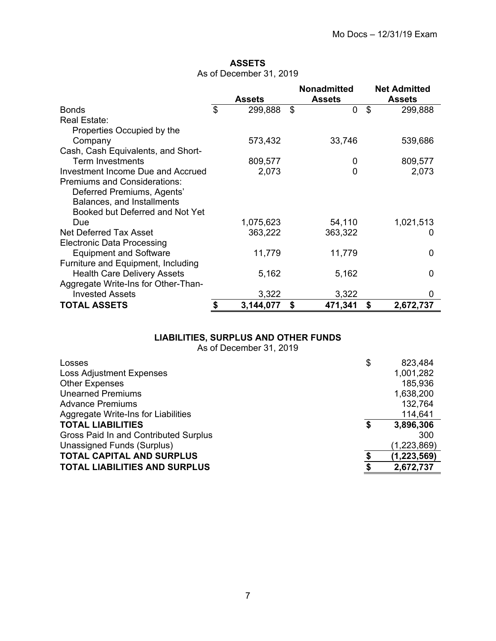# **ASSETS**  As of December 31, 2019

|                                     | <b>Assets</b>   | <b>Nonadmitted</b><br><b>Assets</b> | <b>Net Admitted</b><br><b>Assets</b> |
|-------------------------------------|-----------------|-------------------------------------|--------------------------------------|
| <b>Bonds</b>                        | \$<br>299,888   | \$<br>0                             | \$<br>299,888                        |
| Real Estate:                        |                 |                                     |                                      |
| Properties Occupied by the          |                 |                                     |                                      |
| Company                             | 573,432         | 33,746                              | 539,686                              |
| Cash, Cash Equivalents, and Short-  |                 |                                     |                                      |
| <b>Term Investments</b>             | 809,577         | 0                                   | 809,577                              |
| Investment Income Due and Accrued   | 2,073           | 0                                   | 2,073                                |
| <b>Premiums and Considerations:</b> |                 |                                     |                                      |
| Deferred Premiums, Agents'          |                 |                                     |                                      |
| Balances, and Installments          |                 |                                     |                                      |
| Booked but Deferred and Not Yet     |                 |                                     |                                      |
| Due                                 | 1,075,623       | 54,110                              | 1,021,513                            |
| Net Deferred Tax Asset              | 363,222         | 363,322                             |                                      |
| <b>Electronic Data Processing</b>   |                 |                                     |                                      |
| <b>Equipment and Software</b>       | 11,779          | 11,779                              | 0                                    |
| Furniture and Equipment, Including  |                 |                                     |                                      |
| <b>Health Care Delivery Assets</b>  | 5,162           | 5,162                               | 0                                    |
| Aggregate Write-Ins for Other-Than- |                 |                                     |                                      |
| <b>Invested Assets</b>              | 3,322           | 3,322                               | 0                                    |
| <b>TOTAL ASSETS</b>                 | \$<br>3,144,077 | \$<br>471,341                       | \$<br>2,672,737                      |

# **LIABILITIES, SURPLUS AND OTHER FUNDS**

As of December 31, 2019

| Losses                                | \$ | 823,484     |
|---------------------------------------|----|-------------|
| <b>Loss Adjustment Expenses</b>       |    | 1,001,282   |
| <b>Other Expenses</b>                 |    | 185,936     |
| <b>Unearned Premiums</b>              |    | 1,638,200   |
| <b>Advance Premiums</b>               |    | 132,764     |
| Aggregate Write-Ins for Liabilities   |    | 114,641     |
| <b>TOTAL LIABILITIES</b>              | S  | 3,896,306   |
| Gross Paid In and Contributed Surplus |    | 300         |
| Unassigned Funds (Surplus)            |    | (1,223,869) |
| <b>TOTAL CAPITAL AND SURPLUS</b>      | \$ | (1,223,569) |
| <b>TOTAL LIABILITIES AND SURPLUS</b>  |    | 2,672,737   |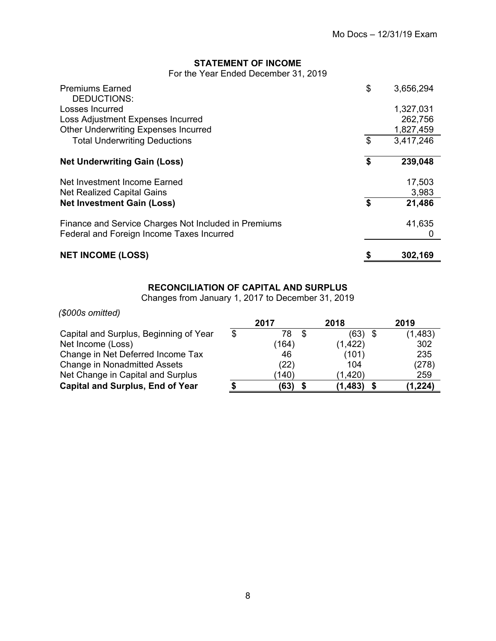# **STATEMENT OF INCOME**

For the Year Ended December 31, 2019

| <b>Premiums Earned</b><br>DEDUCTIONS:                | \$<br>3,656,294 |
|------------------------------------------------------|-----------------|
| Losses Incurred                                      | 1,327,031       |
| Loss Adjustment Expenses Incurred                    | 262,756         |
| <b>Other Underwriting Expenses Incurred</b>          | 1,827,459       |
| <b>Total Underwriting Deductions</b>                 | \$<br>3,417,246 |
| <b>Net Underwriting Gain (Loss)</b>                  | \$<br>239,048   |
| Net Investment Income Earned                         | 17,503          |
| Net Realized Capital Gains                           | 3,983           |
| <b>Net Investment Gain (Loss)</b>                    | \$<br>21,486    |
| Finance and Service Charges Not Included in Premiums | 41,635          |
| Federal and Foreign Income Taxes Incurred            | O               |
| <b>NET INCOME (LOSS)</b>                             | \$<br>302,169   |

# **RECONCILIATION OF CAPITAL AND SURPLUS**

Changes from January 1, 2017 to December 31, 2019

| (\$000s omitted)                        |               |          |          |
|-----------------------------------------|---------------|----------|----------|
|                                         | 2017          | 2018     | 2019     |
| Capital and Surplus, Beginning of Year  | \$<br>78<br>S | (63)     | (1,483)  |
| Net Income (Loss)                       | (164          | (1, 422) | 302      |
| Change in Net Deferred Income Tax       | 46            | (101)    | 235      |
| <b>Change in Nonadmitted Assets</b>     | (22)          | 104      | (278)    |
| Net Change in Capital and Surplus       | (140)         | (1,420)  | 259      |
| <b>Capital and Surplus, End of Year</b> | (63)          | (1, 483) | (1, 224) |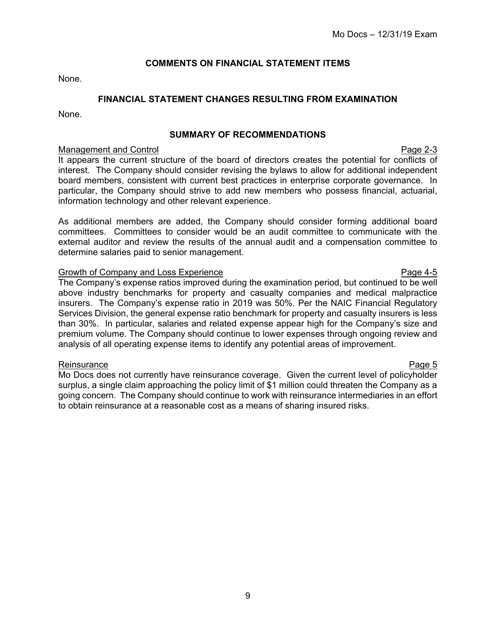# **COMMENTS ON FINANCIAL STATEMENT ITEMS**

None.

# **FINANCIAL STATEMENT CHANGES RESULTING FROM EXAMINATION**

None.

# **SUMMARY OF RECOMMENDATIONS**

#### Management and Control Page 2-3

It appears the current structure of the board of directors creates the potential for conflicts of interest. The Company should consider revising the bylaws to allow for additional independent board members, consistent with current best practices in enterprise corporate governance. In particular, the Company should strive to add new members who possess financial, actuarial, information technology and other relevant experience.

As additional members are added, the Company should consider forming additional board committees. Committees to consider would be an audit committee to communicate with the external auditor and review the results of the annual audit and a compensation committee to determine salaries paid to senior management.

#### Growth of Company and Loss Experience **Page 1-5** Page 4-5

The Company's expense ratios improved during the examination period, but continued to be well above industry benchmarks for property and casualty companies and medical malpractice insurers. The Company's expense ratio in 2019 was 50%. Per the NAIC Financial Regulatory Services Division, the general expense ratio benchmark for property and casualty insurers is less than 30%. In particular, salaries and related expense appear high for the Company's size and premium volume. The Company should continue to lower expenses through ongoing review and analysis of all operating expense items to identify any potential areas of improvement.

#### Reinsurance **Page 5**

Mo Docs does not currently have reinsurance coverage. Given the current level of policyholder surplus, a single claim approaching the policy limit of \$1 million could threaten the Company as a going concern. The Company should continue to work with reinsurance intermediaries in an effort to obtain reinsurance at a reasonable cost as a means of sharing insured risks.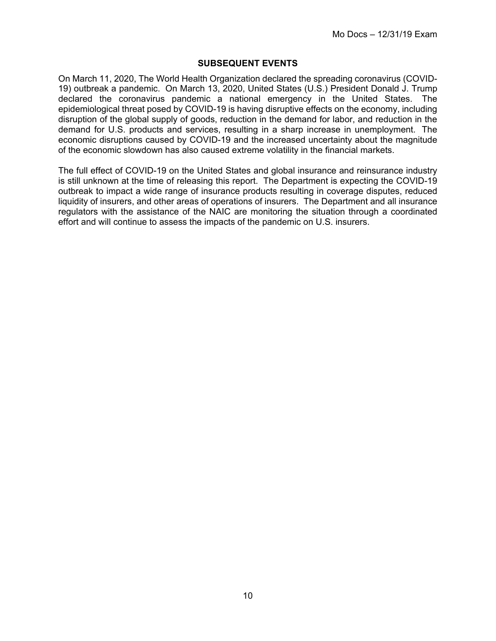# **SUBSEQUENT EVENTS**

On March 11, 2020, The World Health Organization declared the spreading coronavirus (COVID-19) outbreak a pandemic. On March 13, 2020, United States (U.S.) President Donald J. Trump declared the coronavirus pandemic a national emergency in the United States. The epidemiological threat posed by COVID-19 is having disruptive effects on the economy, including disruption of the global supply of goods, reduction in the demand for labor, and reduction in the demand for U.S. products and services, resulting in a sharp increase in unemployment. The economic disruptions caused by COVID-19 and the increased uncertainty about the magnitude of the economic slowdown has also caused extreme volatility in the financial markets.

The full effect of COVID-19 on the United States and global insurance and reinsurance industry is still unknown at the time of releasing this report. The Department is expecting the COVID-19 outbreak to impact a wide range of insurance products resulting in coverage disputes, reduced liquidity of insurers, and other areas of operations of insurers. The Department and all insurance regulators with the assistance of the NAIC are monitoring the situation through a coordinated effort and will continue to assess the impacts of the pandemic on U.S. insurers.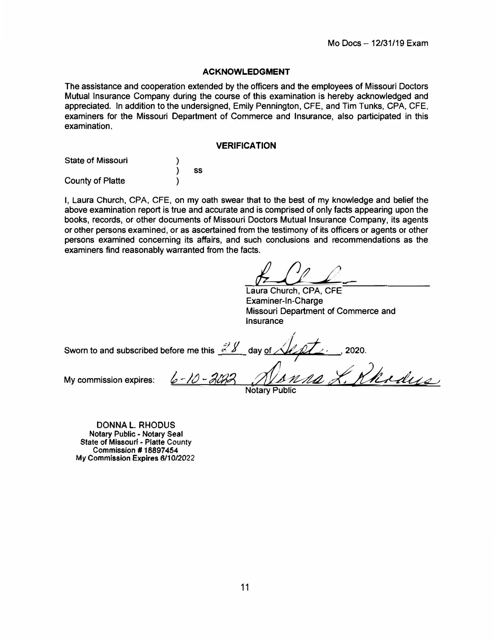#### **ACKNOWLEDGMENT**

The assistance and cooperation extended by the officers and the employees of Missouri Doctors Mutual Insurance Company during the course of this examination is hereby acknowledged and appreciated. In addition to the undersigned, Emily Pennington, CFE, and Tim Tunks, CPA, CFE, examiners for the Missouri Department of Commerce and Insurance, also participated in this examination.

#### **VERIFICATION**

| <b>State of Missouri</b> |    |
|--------------------------|----|
|                          | SS |
| County of Platte         |    |

I, Laura Church, CPA, CFE, on my oath swear that to the best of my knowledge and belief the above examination report is true and accurate and is comprised of only facts appearing upon the books, records, or other documents of Missouri Doctors Mutual Insurance Company, its agents or other persons examined, or as ascertained from the testimony of its officers or agents or other persons examined concerning its affairs, and such conclusions and recommendations as the examiners find reasonably warranted from the facts.

 $LCL$ 

Laura Church, **CPA,** CFE Examiner-In-Charge Missouri Department of Commerce and **Insurance** 

Sworn to and subscribed before me this  $\frac{3}{4}$  day of  $\sqrt{1/2}$ , , 2020. My commission expires: <u>6-10-2022</u> Alanna X. Khodys</u>

Notary Public

DONNA L. RHODUS **Notary** Public - **Notary** Seal State of Missouri - Platte County **Commission# 18897454 My Commission Expires 6/10/2022**